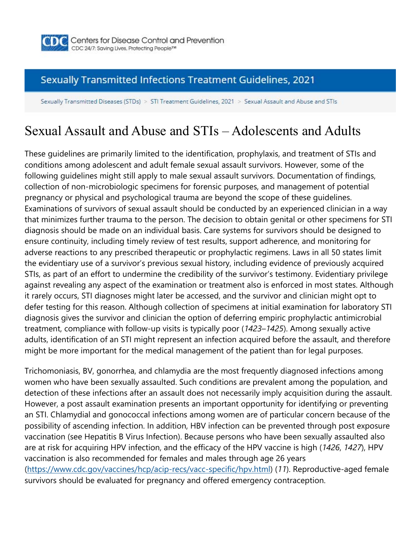

### **Sexually Transmitted Infections Treatment Guidelines, 2021**

Sexually Transmitted Diseases (STDs) > STI Treatment Guidelines, 2021 > Sexual Assault and Abuse and STIs

# Sexual Assault and Abuse and STIs – Adolescents and Adults

These guidelines are primarily limited to the identification, prophylaxis, and treatment of STIs and conditions among adolescent and adult female sexual assault survivors. However, some of the following guidelines might still apply to male sexual assault survivors. Documentation of findings, collection of non-microbiologic specimens for forensic purposes, and management of potential pregnancy or physical and psychological trauma are beyond the scope of these guidelines. Examinations of survivors of sexual assault should be conducted by an experienced clinician in a way that minimizes further trauma to the person. The decision to obtain genital or other specimens for STI diagnosis should be made on an individual basis. Care systems for survivors should be designed to ensure continuity, including timely review of test results, support adherence, and monitoring for adverse reactions to any prescribed therapeutic or prophylactic regimens. Laws in all 50 states limit the evidentiary use of a survivor's previous sexual history, including evidence of previously acquired STIs, as part of an effort to undermine the credibility of the survivor's testimony. Evidentiary privilege against revealing any aspect of the examination or treatment also is enforced in most states. Although it rarely occurs, STI diagnoses might later be accessed, and the survivor and clinician might opt to defer testing for this reason. Although collection of specimens at initial examination for laboratory STI diagnosis gives the survivor and clinician the option of deferring empiric prophylactic antimicrobial treatment, compliance with follow-up visits is typically poor (*1423*–*1425*). Among sexually active adults, identification of an STI might represent an infection acquired before the assault, and therefore might be more important for the medical management of the patient than for legal purposes.

Trichomoniasis, BV, gonorrhea, and chlamydia are the most frequently diagnosed infections among women who have been sexually assaulted. Such conditions are prevalent among the population, and detection of these infections after an assault does not necessarily imply acquisition during the assault. However, a post assault examination presents an important opportunity for identifying or preventing an STI. Chlamydial and gonococcal infections among women are of particular concern because of the possibility of ascending infection. In addition, HBV infection can be prevented through post exposure vaccination (see Hepatitis B Virus Infection). Because persons who have been sexually assaulted also are at risk for acquiring HPV infection, and the efficacy of the HPV vaccine is high (*1426*, *1427*), HPV vaccination is also recommended for females and males through age 26 years (https://www.cdc.gov/vaccines/hcp/acip-recs/vacc-specific/hpv.html) (*11*). Reproductive-aged female survivors should be evaluated for pregnancy and offered emergency contraception.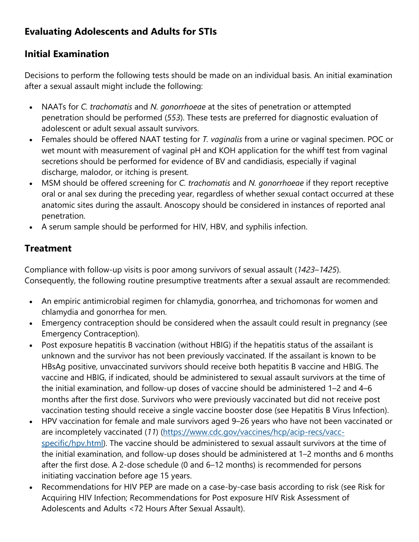# **Evaluating Adolescents and Adults for STIs**

# **Initial Examination**

Decisions to perform the following tests should be made on an individual basis. An initial examination after a sexual assault might include the following:

- NAATs for *C. trachomatis* and *N. gonorrhoeae* at the sites of penetration or attempted penetration should be performed (*553*). These tests are preferred for diagnostic evaluation of adolescent or adult sexual assault survivors.
- Females should be offered NAAT testing for *T. vaginalis* from a urine or vaginal specimen. POC or wet mount with measurement of vaginal pH and KOH application for the whiff test from vaginal secretions should be performed for evidence of BV and candidiasis, especially if vaginal discharge, malodor, or itching is present.
- MSM should be offered screening for *C. trachomatis* and *N. gonorrhoeae* if they report receptive oral or anal sex during the preceding year, regardless of whether sexual contact occurred at these anatomic sites during the assault. Anoscopy should be considered in instances of reported anal penetration.
- A serum sample should be performed for HIV, HBV, and syphilis infection.

# **Treatment**

Compliance with follow-up visits is poor among survivors of sexual assault (*1423*–*1425*). Consequently, the following routine presumptive treatments after a sexual assault are recommended:

- An empiric antimicrobial regimen for chlamydia, gonorrhea, and trichomonas for women and chlamydia and gonorrhea for men.
- Emergency contraception should be considered when the assault could result in pregnancy (see Emergency Contraception).
- Post exposure hepatitis B vaccination (without HBIG) if the hepatitis status of the assailant is unknown and the survivor has not been previously vaccinated. If the assailant is known to be HBsAg positive, unvaccinated survivors should receive both hepatitis B vaccine and HBIG. The vaccine and HBIG, if indicated, should be administered to sexual assault survivors at the time of the initial examination, and follow-up doses of vaccine should be administered 1–2 and 4–6 months after the first dose. Survivors who were previously vaccinated but did not receive post vaccination testing should receive a single vaccine booster dose (see Hepatitis B Virus Infection).
- HPV vaccination for female and male survivors aged 9–26 years who have not been vaccinated or are incompletely vaccinated (*11*) (https://www.cdc.gov/vaccines/hcp/acip-recs/vaccspecific/hpv.html). The vaccine should be administered to sexual assault survivors at the time of the initial examination, and follow-up doses should be administered at 1–2 months and 6 months after the first dose. A 2-dose schedule (0 and 6–12 months) is recommended for persons initiating vaccination before age 15 years.
- Recommendations for HIV PEP are made on a case-by-case basis according to risk (see Risk for Acquiring HIV Infection; Recommendations for Post exposure HIV Risk Assessment of Adolescents and Adults <72 Hours After Sexual Assault).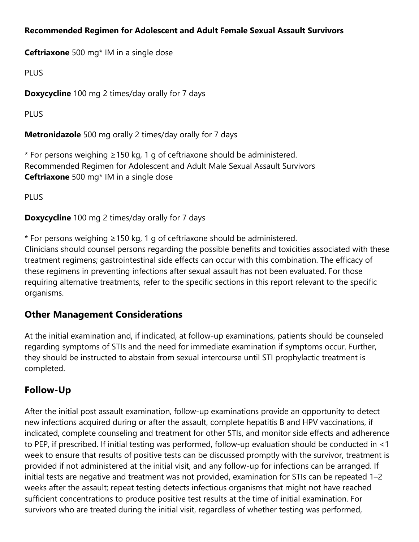#### **Recommended Regimen for Adolescent and Adult Female Sexual Assault Survivors**

**Ceftriaxone** 500 mg\* IM in a single dose

PLUS

**Doxycycline** 100 mg 2 times/day orally for 7 days

PLUS

**Metronidazole** 500 mg orally 2 times/day orally for 7 days

\* For persons weighing ≥150 kg, 1 g of ceftriaxone should be administered. Recommended Regimen for Adolescent and Adult Male Sexual Assault Survivors **Ceftriaxone** 500 mg\* IM in a single dose

PLUS

**Doxycycline** 100 mg 2 times/day orally for 7 days

\* For persons weighing ≥150 kg, 1 g of ceftriaxone should be administered. Clinicians should counsel persons regarding the possible benefits and toxicities associated with these treatment regimens; gastrointestinal side effects can occur with this combination. The efficacy of these regimens in preventing infections after sexual assault has not been evaluated. For those requiring alternative treatments, refer to the specific sections in this report relevant to the specific organisms.

### **Other Management Considerations**

At the initial examination and, if indicated, at follow-up examinations, patients should be counseled regarding symptoms of STIs and the need for immediate examination if symptoms occur. Further, they should be instructed to abstain from sexual intercourse until STI prophylactic treatment is completed.

# **Follow-Up**

After the initial post assault examination, follow-up examinations provide an opportunity to detect new infections acquired during or after the assault, complete hepatitis B and HPV vaccinations, if indicated, complete counseling and treatment for other STIs, and monitor side effects and adherence to PEP, if prescribed. If initial testing was performed, follow-up evaluation should be conducted in <1 week to ensure that results of positive tests can be discussed promptly with the survivor, treatment is provided if not administered at the initial visit, and any follow-up for infections can be arranged. If initial tests are negative and treatment was not provided, examination for STIs can be repeated 1–2 weeks after the assault; repeat testing detects infectious organisms that might not have reached sufficient concentrations to produce positive test results at the time of initial examination. For survivors who are treated during the initial visit, regardless of whether testing was performed,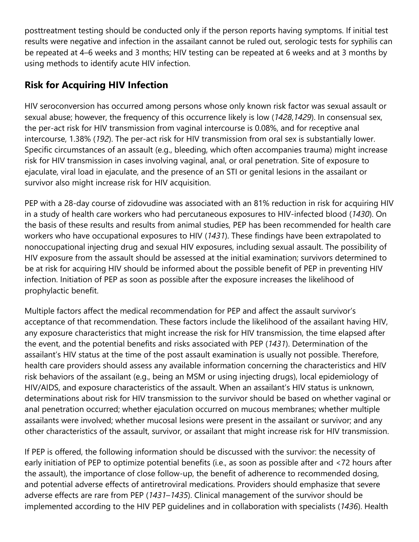posttreatment testing should be conducted only if the person reports having symptoms. If initial test results were negative and infection in the assailant cannot be ruled out, serologic tests for syphilis can be repeated at 4–6 weeks and 3 months; HIV testing can be repeated at 6 weeks and at 3 months by using methods to identify acute HIV infection.

# **Risk for Acquiring HIV Infection**

HIV seroconversion has occurred among persons whose only known risk factor was sexual assault or sexual abuse; however, the frequency of this occurrence likely is low (*1428*,*1429*). In consensual sex, the per-act risk for HIV transmission from vaginal intercourse is 0.08%, and for receptive anal intercourse, 1.38% (*192*). The per-act risk for HIV transmission from oral sex is substantially lower. Specific circumstances of an assault (e.g., bleeding, which often accompanies trauma) might increase risk for HIV transmission in cases involving vaginal, anal, or oral penetration. Site of exposure to ejaculate, viral load in ejaculate, and the presence of an STI or genital lesions in the assailant or survivor also might increase risk for HIV acquisition.

PEP with a 28-day course of zidovudine was associated with an 81% reduction in risk for acquiring HIV in a study of health care workers who had percutaneous exposures to HIV-infected blood (*1430*). On the basis of these results and results from animal studies, PEP has been recommended for health care workers who have occupational exposures to HIV (*1431*). These findings have been extrapolated to nonoccupational injecting drug and sexual HIV exposures, including sexual assault. The possibility of HIV exposure from the assault should be assessed at the initial examination; survivors determined to be at risk for acquiring HIV should be informed about the possible benefit of PEP in preventing HIV infection. Initiation of PEP as soon as possible after the exposure increases the likelihood of prophylactic benefit.

Multiple factors affect the medical recommendation for PEP and affect the assault survivor's acceptance of that recommendation. These factors include the likelihood of the assailant having HIV, any exposure characteristics that might increase the risk for HIV transmission, the time elapsed after the event, and the potential benefits and risks associated with PEP (*1431*). Determination of the assailant's HIV status at the time of the post assault examination is usually not possible. Therefore, health care providers should assess any available information concerning the characteristics and HIV risk behaviors of the assailant (e.g., being an MSM or using injecting drugs), local epidemiology of HIV/AIDS, and exposure characteristics of the assault. When an assailant's HIV status is unknown, determinations about risk for HIV transmission to the survivor should be based on whether vaginal or anal penetration occurred; whether ejaculation occurred on mucous membranes; whether multiple assailants were involved; whether mucosal lesions were present in the assailant or survivor; and any other characteristics of the assault, survivor, or assailant that might increase risk for HIV transmission.

If PEP is offered, the following information should be discussed with the survivor: the necessity of early initiation of PEP to optimize potential benefits (i.e., as soon as possible after and <72 hours after the assault), the importance of close follow-up, the benefit of adherence to recommended dosing, and potential adverse effects of antiretroviral medications. Providers should emphasize that severe adverse effects are rare from PEP (*1431*–*1435*). Clinical management of the survivor should be implemented according to the HIV PEP guidelines and in collaboration with specialists (*1436*). Health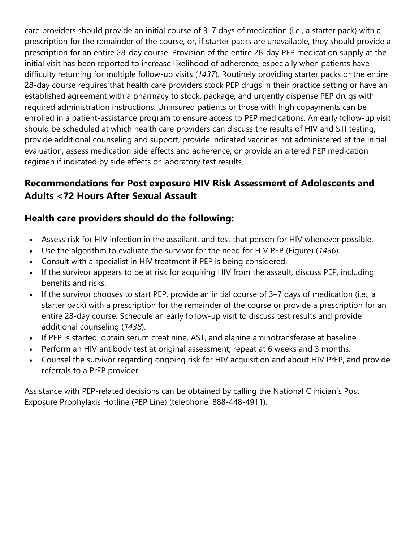care providers should provide an initial course of 3–7 days of medication (i.e., a starter pack) with a prescription for the remainder of the course, or, if starter packs are unavailable, they should provide a prescription for an entire 28-day course. Provision of the entire 28-day PEP medication supply at the initial visit has been reported to increase likelihood of adherence, especially when patients have difficulty returning for multiple follow-up visits (*1437*). Routinely providing starter packs or the entire 28-day course requires that health care providers stock PEP drugs in their practice setting or have an established agreement with a pharmacy to stock, package, and urgently dispense PEP drugs with required administration instructions. Uninsured patients or those with high copayments can be enrolled in a patient-assistance program to ensure access to PEP medications. An early follow-up visit should be scheduled at which health care providers can discuss the results of HIV and STI testing, provide additional counseling and support, provide indicated vaccines not administered at the initial evaluation, assess medication side effects and adherence, or provide an altered PEP medication regimen if indicated by side effects or laboratory test results.

# **Recommendations for Post exposure HIV Risk Assessment of Adolescents and Adults <72 Hours After Sexual Assault**

### **Health care providers should do the following:**

- Assess risk for HIV infection in the assailant, and test that person for HIV whenever possible.
- Use the algorithm to evaluate the survivor for the need for HIV PEP (Figure) (*1436*).
- Consult with a specialist in HIV treatment if PEP is being considered.
- If the survivor appears to be at risk for acquiring HIV from the assault, discuss PEP, including benefits and risks.
- If the survivor chooses to start PEP, provide an initial course of 3–7 days of medication (i.e., a starter pack) with a prescription for the remainder of the course or provide a prescription for an entire 28-day course. Schedule an early follow-up visit to discuss test results and provide additional counseling (*1438*).
- If PEP is started, obtain serum creatinine, AST, and alanine aminotransferase at baseline.
- Perform an HIV antibody test at original assessment; repeat at 6 weeks and 3 months.
- Counsel the survivor regarding ongoing risk for HIV acquisition and about HIV PrEP, and provide referrals to a PrEP provider.

Assistance with PEP-related decisions can be obtained by calling the National Clinician's Post Exposure Prophylaxis Hotline (PEP Line) (telephone: 888-448-4911).